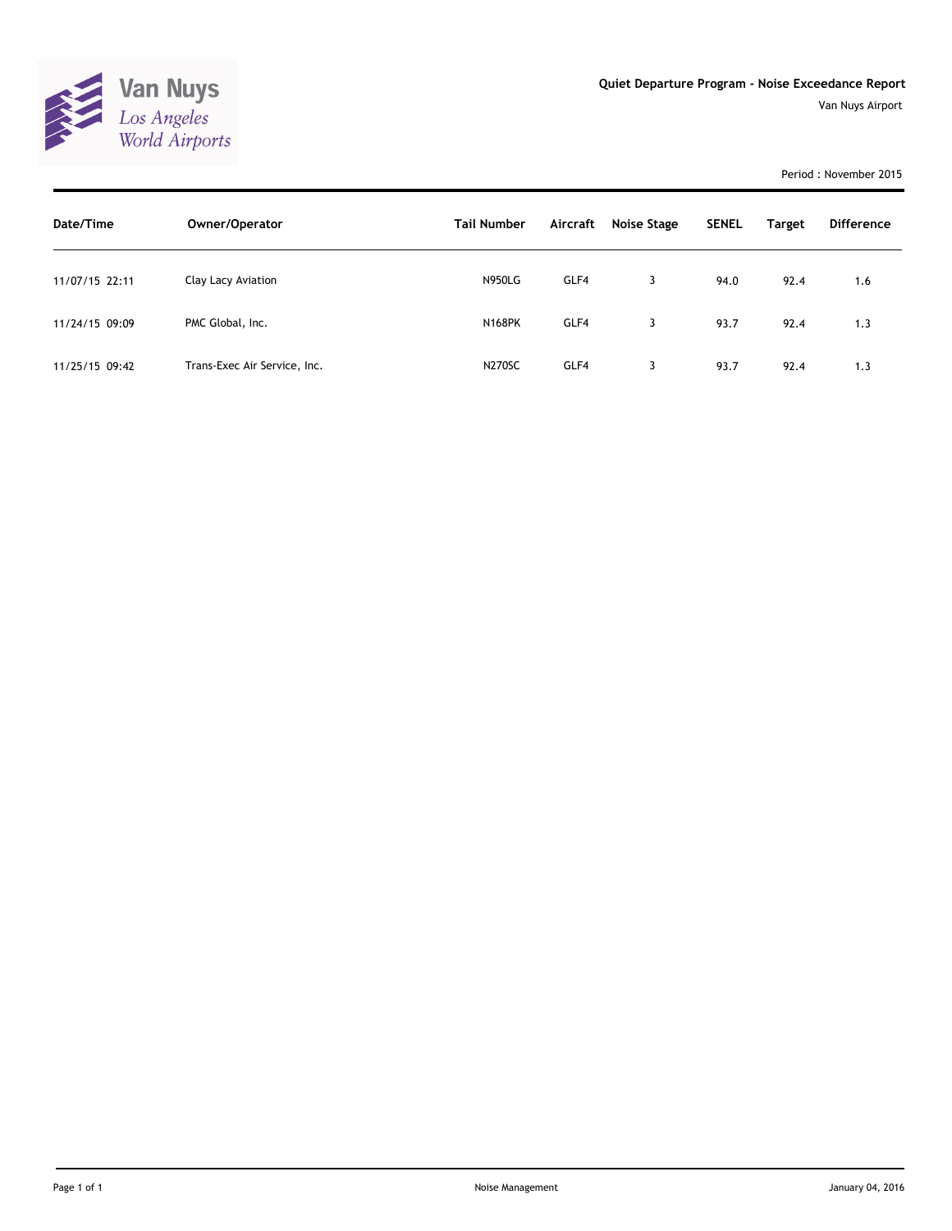

Van Nuys Airport

Period : November 2015

| Date/Time      | Owner/Operator               | <b>Tail Number</b> | Aircraft | Noise Stage | <b>SENEL</b> | <b>Target</b> | <b>Difference</b> |
|----------------|------------------------------|--------------------|----------|-------------|--------------|---------------|-------------------|
| 11/07/15 22:11 | Clay Lacy Aviation           | <b>N950LG</b>      | GLF4     | 3           | 94.0         | 92.4          | 1.6               |
| 11/24/15 09:09 | PMC Global, Inc.             | <b>N168PK</b>      | GLF4     | 3           | 93.7         | 92.4          | 1.3               |
| 11/25/15 09:42 | Trans-Exec Air Service, Inc. | <b>N270SC</b>      | GLF4     | 3           | 93.7         | 92.4          | 1.3               |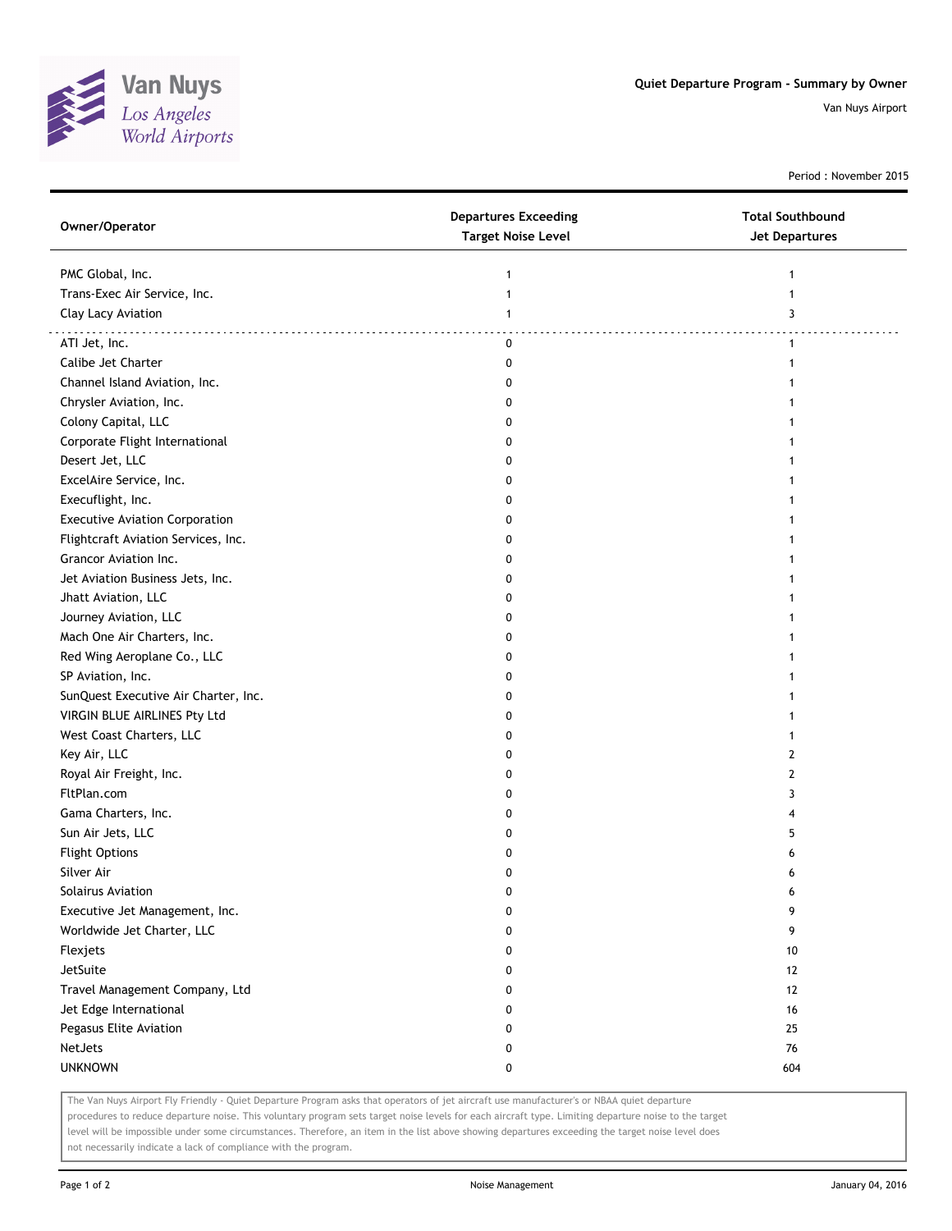

Van Nuys Airport

Period : November 2015

| Owner/Operator                        | <b>Departures Exceeding</b><br><b>Target Noise Level</b> | <b>Total Southbound</b><br><b>Jet Departures</b> |
|---------------------------------------|----------------------------------------------------------|--------------------------------------------------|
| PMC Global, Inc.                      | 1                                                        | 1                                                |
| Trans-Exec Air Service, Inc.          | $\mathbf{1}$                                             | $\mathbf{1}$                                     |
| Clay Lacy Aviation                    | $\mathbf{1}$                                             | 3                                                |
|                                       |                                                          |                                                  |
| ATI Jet, Inc.                         | 0                                                        | $\mathbf{1}$                                     |
| Calibe Jet Charter                    | 0                                                        | 1                                                |
| Channel Island Aviation, Inc.         | 0                                                        |                                                  |
| Chrysler Aviation, Inc.               | 0                                                        | 1                                                |
| Colony Capital, LLC                   | 0                                                        | 1                                                |
| Corporate Flight International        | 0                                                        | 1                                                |
| Desert Jet, LLC                       | 0                                                        | 1                                                |
| ExcelAire Service, Inc.               | 0                                                        |                                                  |
| Execuflight, Inc.                     | 0                                                        |                                                  |
| <b>Executive Aviation Corporation</b> | 0                                                        |                                                  |
| Flightcraft Aviation Services, Inc.   | 0                                                        |                                                  |
| Grancor Aviation Inc.                 | 0                                                        |                                                  |
| Jet Aviation Business Jets, Inc.      | 0                                                        |                                                  |
| Jhatt Aviation, LLC                   | 0                                                        | 1                                                |
| Journey Aviation, LLC                 | 0                                                        | 1                                                |
| Mach One Air Charters, Inc.           | 0                                                        | 1                                                |
| Red Wing Aeroplane Co., LLC           | 0                                                        | 1                                                |
| SP Aviation, Inc.                     | 0                                                        |                                                  |
| SunQuest Executive Air Charter, Inc.  | 0                                                        |                                                  |
| VIRGIN BLUE AIRLINES Pty Ltd          | 0                                                        |                                                  |
| West Coast Charters, LLC              | 0                                                        | 1                                                |
| Key Air, LLC                          | 0                                                        | $\mathbf{2}$                                     |
| Royal Air Freight, Inc.               | 0                                                        | $\mathbf{2}$                                     |
| FltPlan.com                           | 0                                                        | 3                                                |
| Gama Charters, Inc.                   | 0                                                        | 4                                                |
| Sun Air Jets, LLC                     | 0                                                        | 5                                                |
| <b>Flight Options</b>                 | 0                                                        | 6                                                |
| Silver Air                            | 0                                                        | 6                                                |
| Solairus Aviation                     | 0                                                        | 6                                                |
| Executive Jet Management, Inc.        | 0                                                        | 9                                                |
| Worldwide Jet Charter, LLC            | 0                                                        | 9                                                |
| Flexjets                              | 0                                                        | 10                                               |
| JetSuite                              | 0                                                        | 12                                               |
| Travel Management Company, Ltd        | 0                                                        | 12                                               |
| Jet Edge International                | 0                                                        | 16                                               |
| Pegasus Elite Aviation                | 0                                                        | 25                                               |
| <b>NetJets</b>                        | 0                                                        | 76                                               |
| <b>UNKNOWN</b>                        | 0                                                        | 604                                              |
|                                       |                                                          |                                                  |

The Van Nuys Airport Fly Friendly - Quiet Departure Program asks that operators of jet aircraft use manufacturer's or NBAA quiet departure

procedures to reduce departure noise. This voluntary program sets target noise levels for each aircraft type. Limiting departure noise to the target level will be impossible under some circumstances. Therefore, an item in the list above showing departures exceeding the target noise level does not necessarily indicate a lack of compliance with the program.